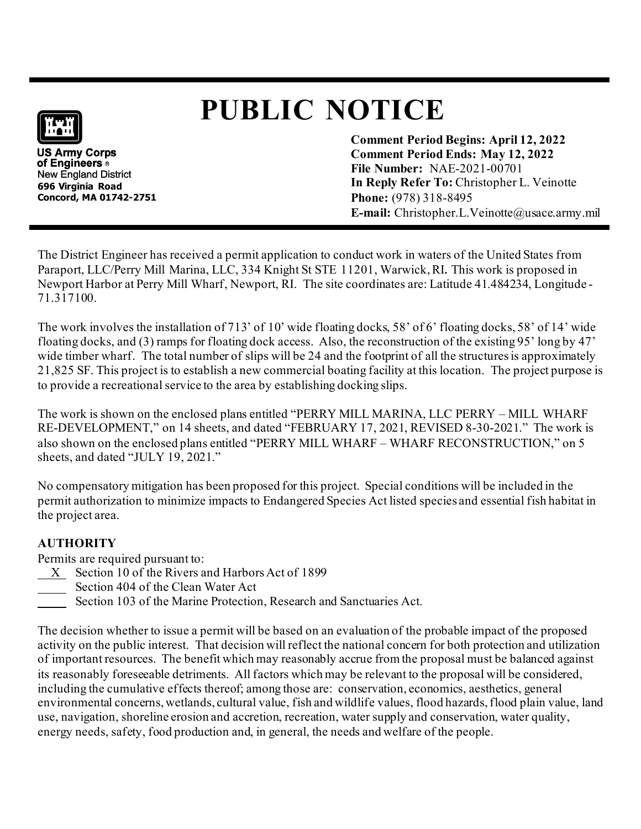# **PUBLIC NOTICE**

**US Army Corps** of Engineers ® New England District **696 Virginia Road Concord, MA 01742-2751** **Comment Period Begins: April 12, 2022 Comment Period Ends: May 12, 2022 File Number:** NAE-2021-00701 **In Reply Refer To:** Christopher L. Veinotte **Phone:** (978) 318-8495 **E-mail:** Christopher.L.Veinotte@usace.army.mil

The District Engineer has received a permit application to conduct work in waters of the United States from Paraport, LLC/Perry Mill Marina, LLC, 334 Knight St STE 11201, Warwick, RI**.** This work is proposed in Newport Harbor at Perry Mill Wharf, Newport, RI. The site coordinates are: Latitude 41.484234, Longitude - 71.317100.

The work involves the installation of 713' of 10' wide floating docks, 58' of 6' floating docks, 58' of 14' wide floating docks, and (3) ramps for floating dock access. Also, the reconstruction of the existing 95' long by 47' wide timber wharf. The total number of slips will be 24 and the footprint of all the structures is approximately 21,825 SF. This project is to establish a new commercial boating facility at this location. The project purpose is to provide a recreational service to the area by establishing docking slips.

The work is shown on the enclosed plans entitled "PERRY MILL MARINA, LLC PERRY – MILL WHARF RE-DEVELOPMENT," on 14 sheets, and dated "FEBRUARY 17, 2021, REVISED 8-30-2021." The work is also shown on the enclosed plans entitled "PERRY MILL WHARF – WHARF RECONSTRUCTION," on 5 sheets, and dated "JULY 19, 2021."

No compensatory mitigation has been proposed for this project. Special conditions will be included in the permit authorization to minimize impacts to Endangered Species Act listed species and essential fish habitat in the project area.

## **AUTHORITY**

Permits are required pursuant to:

- X Section 10 of the Rivers and Harbors Act of 1899
- Section 404 of the Clean Water Act
- Section 103 of the Marine Protection, Research and Sanctuaries Act.

The decision whether to issue a permit will be based on an evaluation of the probable impact of the proposed activity on the public interest. That decision will reflect the national concern for both protection and utilization of important resources. The benefit which may reasonably accrue from the proposal must be balanced against its reasonably foreseeable detriments. All factors which may be relevant to the proposal will be considered, including the cumulative effects thereof; among those are: conservation, economics, aesthetics, general environmental concerns, wetlands, cultural value, fish and wildlife values, flood hazards, flood plain value, land use, navigation, shoreline erosion and accretion, recreation, water supply and conservation, water quality, energy needs, safety, food production and, in general, the needs and welfare of the people.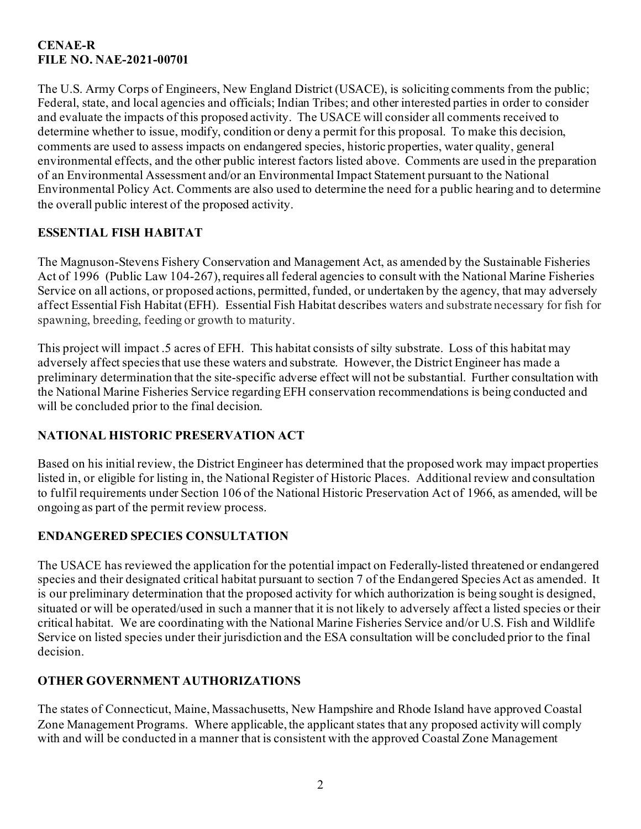#### **CENAE-R FILE NO. NAE-2021-00701**

The U.S. Army Corps of Engineers, New England District (USACE), is soliciting comments from the public; Federal, state, and local agencies and officials; Indian Tribes; and other interested parties in order to consider and evaluate the impacts of this proposed activity. The USACE will consider all comments received to determine whether to issue, modify, condition or deny a permit for this proposal. To make this decision, comments are used to assess impacts on endangered species, historic properties, water quality, general environmental effects, and the other public interest factors listed above. Comments are used in the preparation of an Environmental Assessment and/or an Environmental Impact Statement pursuant to the National Environmental Policy Act. Comments are also used to determine the need for a public hearing and to determine the overall public interest of the proposed activity.

## **ESSENTIAL FISH HABITAT**

The Magnuson-Stevens Fishery Conservation and Management Act, as amended by the Sustainable Fisheries Act of 1996 (Public Law 104-267), requires all federal agencies to consult with the National Marine Fisheries Service on all actions, or proposed actions, permitted, funded, or undertaken by the agency, that may adversely affect Essential Fish Habitat (EFH). Essential Fish Habitat describes waters and substrate necessary for fish for spawning, breeding, feeding or growth to maturity.

This project will impact .5 acres of EFH. This habitat consists of silty substrate. Loss of this habitat may adversely affect species that use these waters and substrate. However, the District Engineer has made a preliminary determination that the site-specific adverse effect will not be substantial. Further consultation with the National Marine Fisheries Service regarding EFH conservation recommendations is being conducted and will be concluded prior to the final decision.

## **NATIONAL HISTORIC PRESERVATION ACT**

Based on his initial review, the District Engineer has determined that the proposed work may impact properties listed in, or eligible for listing in, the National Register of Historic Places. Additional review and consultation to fulfil requirements under Section 106 of the National Historic Preservation Act of 1966, as amended, will be ongoing as part of the permit review process.

## **ENDANGERED SPECIES CONSULTATION**

The USACE has reviewed the application for the potential impact on Federally-listed threatened or endangered species and their designated critical habitat pursuant to section 7 of the Endangered Species Act as amended. It is our preliminary determination that the proposed activity for which authorization is being sought is designed, situated or will be operated/used in such a manner that it is not likely to adversely affect a listed species or their critical habitat. We are coordinating with the National Marine Fisheries Service and/or U.S. Fish and Wildlife Service on listed species under their jurisdiction and the ESA consultation will be concluded prior to the final decision.

#### **OTHER GOVERNMENT AUTHORIZATIONS**

The states of Connecticut, Maine, Massachusetts, New Hampshire and Rhode Island have approved Coastal Zone Management Programs. Where applicable, the applicant states that any proposed activity will comply with and will be conducted in a manner that is consistent with the approved Coastal Zone Management